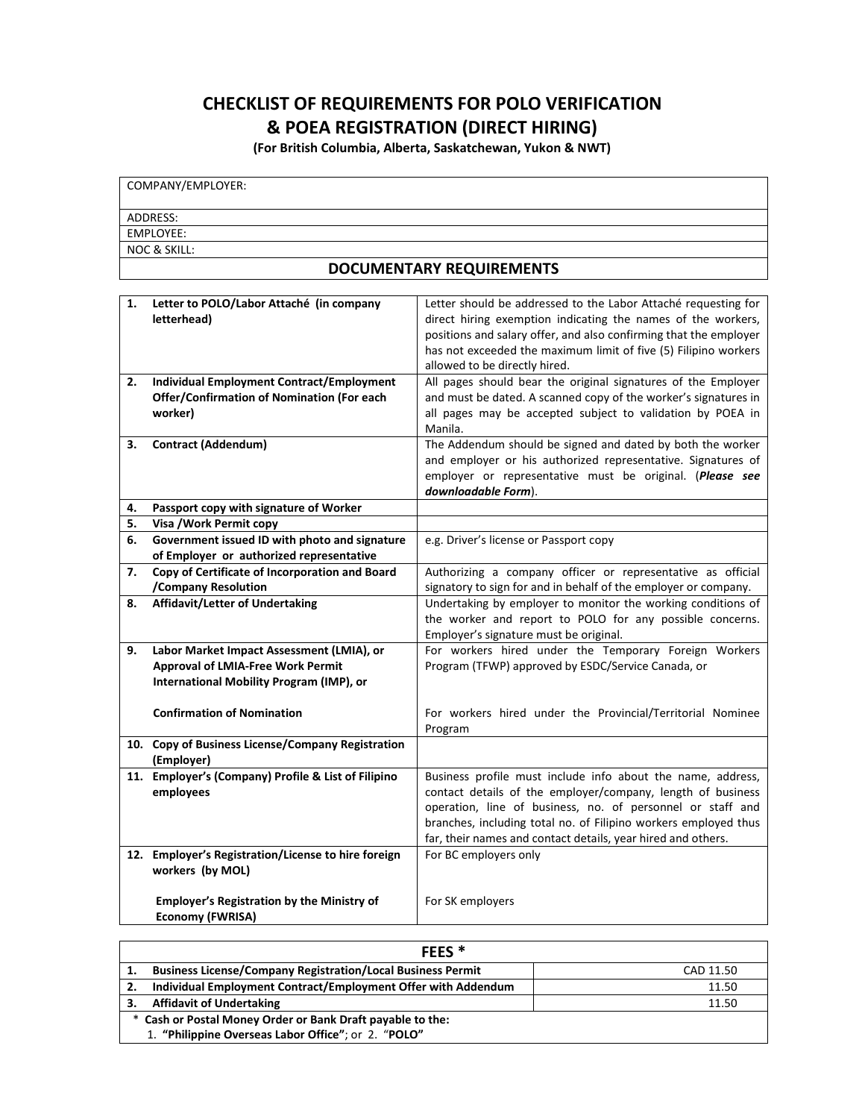## **CHECKLIST OF REQUIREMENTS FOR POLO VERIFICATION & POEA REGISTRATION (DIRECT HIRING)**

**(For British Columbia, Alberta, Saskatchewan, Yukon & NWT)**

| COMPANY/EMPLOYER: |  |
|-------------------|--|
| ADDRESS:          |  |
| EMPLOYEE:         |  |
| NOC & SKILL:      |  |
|                   |  |

## **DOCUMENTARY REQUIREMENTS**

| 1. | Letter to POLO/Labor Attaché (in company            | Letter should be addressed to the Labor Attaché requesting for    |
|----|-----------------------------------------------------|-------------------------------------------------------------------|
|    | letterhead)                                         | direct hiring exemption indicating the names of the workers,      |
|    |                                                     | positions and salary offer, and also confirming that the employer |
|    |                                                     | has not exceeded the maximum limit of five (5) Filipino workers   |
|    |                                                     | allowed to be directly hired.                                     |
| 2. | <b>Individual Employment Contract/Employment</b>    | All pages should bear the original signatures of the Employer     |
|    | Offer/Confirmation of Nomination (For each          | and must be dated. A scanned copy of the worker's signatures in   |
|    | worker)                                             | all pages may be accepted subject to validation by POEA in        |
|    |                                                     | Manila.                                                           |
| 3. | <b>Contract (Addendum)</b>                          | The Addendum should be signed and dated by both the worker        |
|    |                                                     | and employer or his authorized representative. Signatures of      |
|    |                                                     | employer or representative must be original. (Please see          |
|    |                                                     | downloadable Form).                                               |
| 4. | Passport copy with signature of Worker              |                                                                   |
| 5. | Visa / Work Permit copy                             |                                                                   |
| 6. | Government issued ID with photo and signature       | e.g. Driver's license or Passport copy                            |
|    | of Employer or authorized representative            |                                                                   |
| 7. | Copy of Certificate of Incorporation and Board      | Authorizing a company officer or representative as official       |
|    | /Company Resolution                                 | signatory to sign for and in behalf of the employer or company.   |
| 8. | <b>Affidavit/Letter of Undertaking</b>              | Undertaking by employer to monitor the working conditions of      |
|    |                                                     | the worker and report to POLO for any possible concerns.          |
|    |                                                     | Employer's signature must be original.                            |
| 9. | Labor Market Impact Assessment (LMIA), or           | For workers hired under the Temporary Foreign Workers             |
|    | <b>Approval of LMIA-Free Work Permit</b>            | Program (TFWP) approved by ESDC/Service Canada, or                |
|    | International Mobility Program (IMP), or            |                                                                   |
|    |                                                     |                                                                   |
|    | <b>Confirmation of Nomination</b>                   | For workers hired under the Provincial/Territorial Nominee        |
|    | 10. Copy of Business License/Company Registration   | Program                                                           |
|    | (Employer)                                          |                                                                   |
|    | 11. Employer's (Company) Profile & List of Filipino | Business profile must include info about the name, address,       |
|    | employees                                           | contact details of the employer/company, length of business       |
|    |                                                     | operation, line of business, no. of personnel or staff and        |
|    |                                                     | branches, including total no. of Filipino workers employed thus   |
|    |                                                     | far, their names and contact details, year hired and others.      |
|    | 12. Employer's Registration/License to hire foreign | For BC employers only                                             |
|    | workers (by MOL)                                    |                                                                   |
|    |                                                     |                                                                   |
|    | <b>Employer's Registration by the Ministry of</b>   | For SK employers                                                  |
|    | <b>Economy (FWRISA)</b>                             |                                                                   |

| FEES <sup>*</sup>                                          |                                                                    |           |  |
|------------------------------------------------------------|--------------------------------------------------------------------|-----------|--|
|                                                            | <b>Business License/Company Registration/Local Business Permit</b> | CAD 11.50 |  |
|                                                            | Individual Employment Contract/Employment Offer with Addendum      | 11.50     |  |
|                                                            | <b>Affidavit of Undertaking</b>                                    | 11.50     |  |
| * Cash or Postal Money Order or Bank Draft payable to the: |                                                                    |           |  |
|                                                            | 1. "Philippine Overseas Labor Office"; or 2. "POLO"                |           |  |